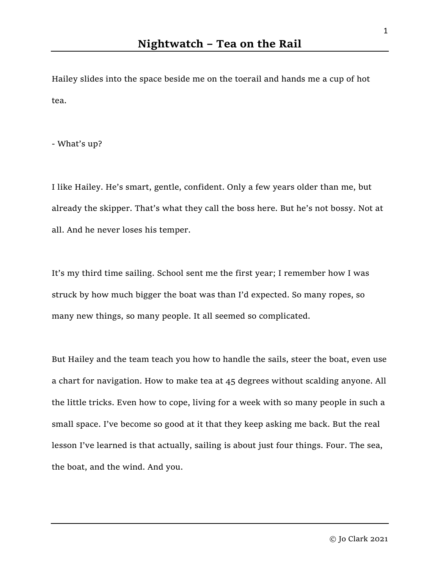Hailey slides into the space beside me on the toerail and hands me a cup of hot tea.

- What's up?

I like Hailey. He's smart, gentle, confident. Only a few years older than me, but already the skipper. That's what they call the boss here. But he's not bossy. Not at all. And he never loses his temper.

It's my third time sailing. School sent me the first year; I remember how I was struck by how much bigger the boat was than I'd expected. So many ropes, so many new things, so many people. It all seemed so complicated.

But Hailey and the team teach you how to handle the sails, steer the boat, even use a chart for navigation. How to make tea at 45 degrees without scalding anyone. All the little tricks. Even how to cope, living for a week with so many people in such a small space. I've become so good at it that they keep asking me back. But the real lesson I've learned is that actually, sailing is about just four things. Four. The sea, the boat, and the wind. And you.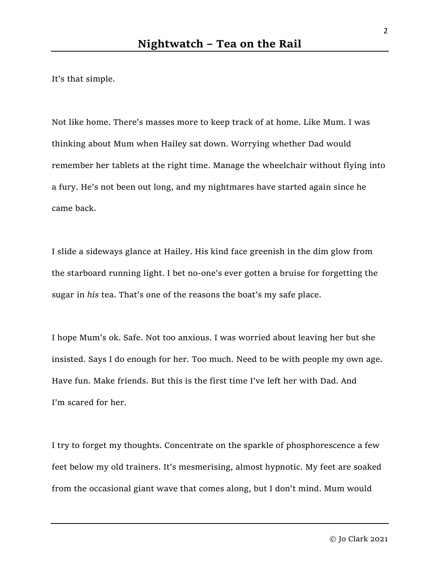It's that simple.

Not like home. There's masses more to keep track of at home. Like Mum. I was thinking about Mum when Hailey sat down. Worrying whether Dad would remember her tablets at the right time. Manage the wheelchair without flying into a fury. He's not been out long, and my nightmares have started again since he came back.

I slide a sideways glance at Hailey. His kind face greenish in the dim glow from the starboard running light. I bet no-one's ever gotten a bruise for forgetting the sugar in his tea. That's one of the reasons the boat's my safe place.

I hope Mum's ok. Safe. Not too anxious. I was worried about leaving her but she insisted. Says I do enough for her. Too much. Need to be with people my own age. Have fun. Make friends. But this is the first time I've left her with Dad. And I'm scared for her.

I try to forget my thoughts. Concentrate on the sparkle of phosphorescence a few feet below my old trainers. It's mesmerising, almost hypnotic. My feet are soaked from the occasional giant wave that comes along, but I don't mind. Mum would